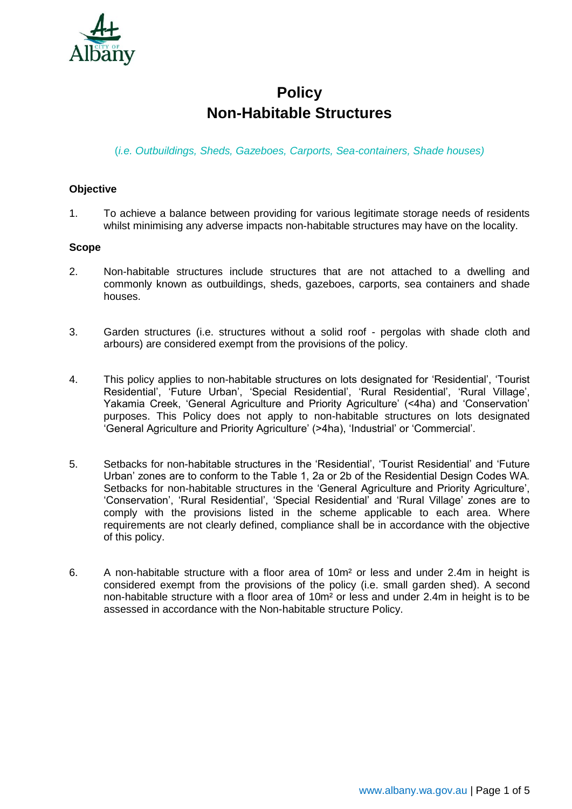

# **Policy Non-Habitable Structures**

(*i.e. Outbuildings, Sheds, Gazeboes, Carports, Sea-containers, Shade houses)*

## **Objective**

1. To achieve a balance between providing for various legitimate storage needs of residents whilst minimising any adverse impacts non-habitable structures may have on the locality.

#### **Scope**

- 2. Non-habitable structures include structures that are not attached to a dwelling and commonly known as outbuildings, sheds, gazeboes, carports, sea containers and shade houses.
- 3. Garden structures (i.e. structures without a solid roof pergolas with shade cloth and arbours) are considered exempt from the provisions of the policy.
- 4. This policy applies to non-habitable structures on lots designated for 'Residential', 'Tourist Residential', 'Future Urban', 'Special Residential', 'Rural Residential', 'Rural Village', Yakamia Creek, 'General Agriculture and Priority Agriculture' (<4ha) and 'Conservation' purposes. This Policy does not apply to non-habitable structures on lots designated 'General Agriculture and Priority Agriculture' (>4ha), 'Industrial' or 'Commercial'.
- 5. Setbacks for non-habitable structures in the 'Residential', 'Tourist Residential' and 'Future Urban' zones are to conform to the Table 1, 2a or 2b of the Residential Design Codes WA. Setbacks for non-habitable structures in the 'General Agriculture and Priority Agriculture', 'Conservation', 'Rural Residential', 'Special Residential' and 'Rural Village' zones are to comply with the provisions listed in the scheme applicable to each area. Where requirements are not clearly defined, compliance shall be in accordance with the objective of this policy.
- 6. A non-habitable structure with a floor area of 10m² or less and under 2.4m in height is considered exempt from the provisions of the policy (i.e. small garden shed). A second non-habitable structure with a floor area of 10m² or less and under 2.4m in height is to be assessed in accordance with the Non-habitable structure Policy.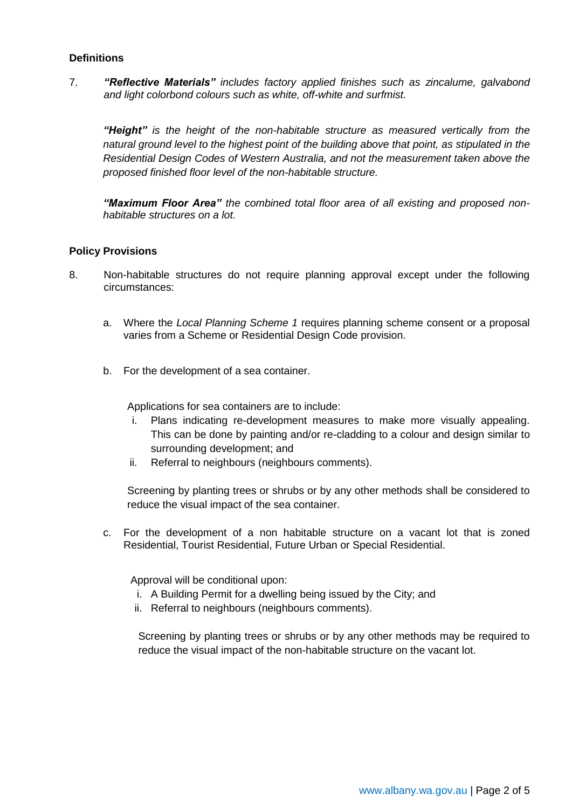## **Definitions**

7. *"Reflective Materials" includes factory applied finishes such as zincalume, galvabond and light colorbond colours such as white, off-white and surfmist.* 

*"Height" is the height of the non-habitable structure as measured vertically from the natural ground level to the highest point of the building above that point, as stipulated in the Residential Design Codes of Western Australia, and not the measurement taken above the proposed finished floor level of the non-habitable structure.*

*"Maximum Floor Area" the combined total floor area of all existing and proposed nonhabitable structures on a lot.*

#### **Policy Provisions**

- 8. Non-habitable structures do not require planning approval except under the following circumstances:
	- a. Where the *Local Planning Scheme 1* requires planning scheme consent or a proposal varies from a Scheme or Residential Design Code provision.
	- b. For the development of a sea container.

Applications for sea containers are to include:

- i. Plans indicating re-development measures to make more visually appealing. This can be done by painting and/or re-cladding to a colour and design similar to surrounding development; and
- ii. Referral to neighbours (neighbours comments).

Screening by planting trees or shrubs or by any other methods shall be considered to reduce the visual impact of the sea container.

c. For the development of a non habitable structure on a vacant lot that is zoned Residential, Tourist Residential, Future Urban or Special Residential.

Approval will be conditional upon:

- i. A Building Permit for a dwelling being issued by the City; and
- ii. Referral to neighbours (neighbours comments).

Screening by planting trees or shrubs or by any other methods may be required to reduce the visual impact of the non-habitable structure on the vacant lot.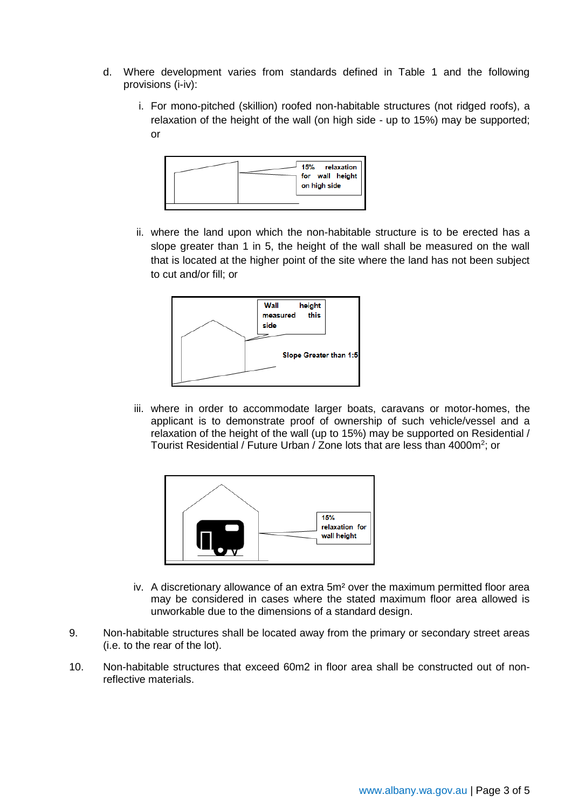- d. Where development varies from standards defined in Table 1 and the following provisions (i-iv):
	- i. For mono-pitched (skillion) roofed non-habitable structures (not ridged roofs), a relaxation of the height of the wall (on high side - up to 15%) may be supported; or



ii. where the land upon which the non-habitable structure is to be erected has a slope greater than 1 in 5, the height of the wall shall be measured on the wall that is located at the higher point of the site where the land has not been subject to cut and/or fill; or



iii. where in order to accommodate larger boats, caravans or motor-homes, the applicant is to demonstrate proof of ownership of such vehicle/vessel and a relaxation of the height of the wall (up to 15%) may be supported on Residential / Tourist Residential / Future Urban / Zone lots that are less than 4000m<sup>2</sup>; or



- iv. A discretionary allowance of an extra 5m² over the maximum permitted floor area may be considered in cases where the stated maximum floor area allowed is unworkable due to the dimensions of a standard design.
- 9. Non-habitable structures shall be located away from the primary or secondary street areas (i.e. to the rear of the lot).
- 10. Non-habitable structures that exceed 60m2 in floor area shall be constructed out of nonreflective materials.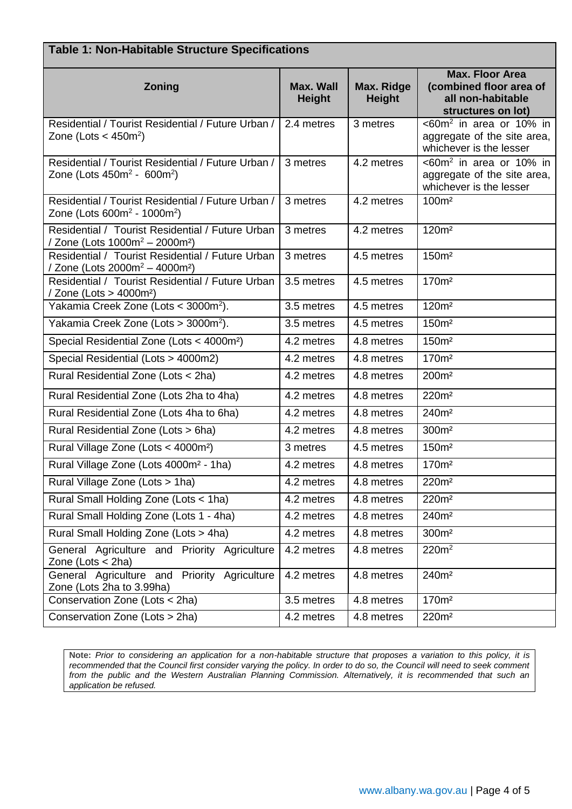| <b>Table 1: Non-Habitable Structure Specifications</b>                                                     |                                   |                             |                                                                                              |  |  |  |
|------------------------------------------------------------------------------------------------------------|-----------------------------------|-----------------------------|----------------------------------------------------------------------------------------------|--|--|--|
| Zoning                                                                                                     | <b>Max. Wall</b><br><b>Height</b> | Max. Ridge<br><b>Height</b> | <b>Max. Floor Area</b><br>(combined floor area of<br>all non-habitable<br>structures on lot) |  |  |  |
| Residential / Tourist Residential / Future Urban /<br>Zone (Lots $<$ 450m <sup>2</sup> )                   | 2.4 metres                        | 3 metres                    | $<60m^2$ in area or 10% in<br>aggregate of the site area,<br>whichever is the lesser         |  |  |  |
| Residential / Tourist Residential / Future Urban /<br>Zone (Lots $450m^2 - 600m^2$ )                       | 3 metres                          | 4.2 metres                  | $<60m^2$ in area or 10% in<br>aggregate of the site area,<br>whichever is the lesser         |  |  |  |
| Residential / Tourist Residential / Future Urban /<br>Zone (Lots 600m <sup>2</sup> - 1000m <sup>2</sup> )  | 3 metres                          | 4.2 metres                  | 100m <sup>2</sup>                                                                            |  |  |  |
| Residential / Tourist Residential / Future Urban<br>/ Zone (Lots 1000m <sup>2</sup> – 2000m <sup>2</sup> ) | 3 metres                          | 4.2 metres                  | 120m <sup>2</sup>                                                                            |  |  |  |
| Residential / Tourist Residential / Future Urban<br>/ Zone (Lots 2000m <sup>2</sup> – 4000m <sup>2</sup> ) | 3 metres                          | 4.5 metres                  | 150m <sup>2</sup>                                                                            |  |  |  |
| Residential / Tourist Residential / Future Urban<br>/ Zone (Lots > 4000m <sup>2</sup> )                    | 3.5 metres                        | 4.5 metres                  | 170m <sup>2</sup>                                                                            |  |  |  |
| Yakamia Creek Zone (Lots < 3000m <sup>2</sup> ).                                                           | 3.5 metres                        | 4.5 metres                  | 120m <sup>2</sup>                                                                            |  |  |  |
| Yakamia Creek Zone (Lots > 3000m <sup>2</sup> ).                                                           | 3.5 metres                        | 4.5 metres                  | 150m <sup>2</sup>                                                                            |  |  |  |
| Special Residential Zone (Lots < 4000m <sup>2</sup> )                                                      | 4.2 metres                        | 4.8 metres                  | 150m <sup>2</sup>                                                                            |  |  |  |
| Special Residential (Lots > 4000m2)                                                                        | 4.2 metres                        | 4.8 metres                  | 170m <sup>2</sup>                                                                            |  |  |  |
| Rural Residential Zone (Lots < 2ha)                                                                        | 4.2 metres                        | 4.8 metres                  | 200m <sup>2</sup>                                                                            |  |  |  |
| Rural Residential Zone (Lots 2ha to 4ha)                                                                   | 4.2 metres                        | 4.8 metres                  | 220m <sup>2</sup>                                                                            |  |  |  |
| Rural Residential Zone (Lots 4ha to 6ha)                                                                   | 4.2 metres                        | 4.8 metres                  | 240m <sup>2</sup>                                                                            |  |  |  |
| Rural Residential Zone (Lots > 6ha)                                                                        | 4.2 metres                        | 4.8 metres                  | 300m <sup>2</sup>                                                                            |  |  |  |
| Rural Village Zone (Lots < 4000m <sup>2</sup> )                                                            | 3 metres                          | 4.5 metres                  | 150m <sup>2</sup>                                                                            |  |  |  |
| Rural Village Zone (Lots 4000m <sup>2</sup> - 1ha)                                                         | 4.2 metres                        | 4.8 metres                  | 170m <sup>2</sup>                                                                            |  |  |  |
| Rural Village Zone (Lots > 1ha)                                                                            | 4.2 metres                        | 4.8 metres                  | 220m <sup>2</sup>                                                                            |  |  |  |
| Rural Small Holding Zone (Lots < 1ha)                                                                      | 4.2 metres                        | 4.8 metres                  | 220m <sup>2</sup>                                                                            |  |  |  |
| Rural Small Holding Zone (Lots 1 - 4ha)                                                                    | 4.2 metres                        | 4.8 metres                  | 240m <sup>2</sup>                                                                            |  |  |  |
| Rural Small Holding Zone (Lots > 4ha)                                                                      | 4.2 metres                        | 4.8 metres                  | 300m <sup>2</sup>                                                                            |  |  |  |
| General Agriculture and Priority Agriculture<br>Zone (Lots $<$ 2ha)                                        | 4.2 metres                        | 4.8 metres                  | 220m <sup>2</sup>                                                                            |  |  |  |
| General Agriculture and Priority Agriculture<br>Zone (Lots 2ha to 3.99ha)                                  | 4.2 metres                        | 4.8 metres                  | 240m <sup>2</sup>                                                                            |  |  |  |
| Conservation Zone (Lots < 2ha)                                                                             | 3.5 metres                        | 4.8 metres                  | 170m <sup>2</sup>                                                                            |  |  |  |
| Conservation Zone (Lots > 2ha)                                                                             | 4.2 metres                        | 4.8 metres                  | 220m <sup>2</sup>                                                                            |  |  |  |

**Note:** *Prior to considering an application for a non-habitable structure that proposes a variation to this policy, it is recommended that the Council first consider varying the policy. In order to do so, the Council will need to seek comment from the public and the Western Australian Planning Commission. Alternatively, it is recommended that such an application be refused.*